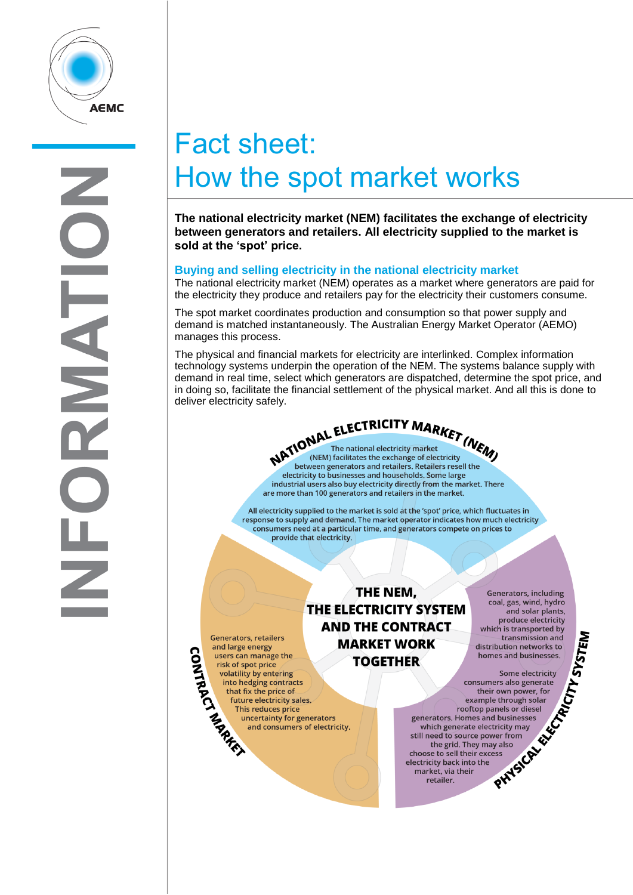

# Fact sheet: How the spot market works

**The national electricity market (NEM) facilitates the exchange of electricity between generators and retailers. All electricity supplied to the market is sold at the 'spot' price.**

## **Buying and selling electricity in the national electricity market**

The national electricity market (NEM) operates as a market where generators are paid for the electricity they produce and retailers pay for the electricity their customers consume.

The spot market coordinates production and consumption so that power supply and demand is matched instantaneously. The Australian Energy Market Operator (AEMO) manages this process.

The physical and financial markets for electricity are interlinked. Complex information technology systems underpin the operation of the NEM. The systems balance supply with demand in real time, select which generators are dispatched, determine the spot price, and in doing so, facilitate the financial settlement of the physical market. And all this is done to deliver electricity safely.

> **NATIONAL ELECTRICITY MARKET (NEW)**<br>NATIONAL The national electricity market (NEW)<br>hetwork is considered and the exchange of electricity between generators and retailers. Retailers resell the electricity to businesses and households. Some large industrial users also buy electricity directly from the market. There are more than 100 generators and retailers in the market.

All electricity supplied to the market is sold at the 'spot' price, which fluctuates in response to supply and demand. The market operator indicates how much electricity consumers need at a particular time, and generators compete on prices to provide that electricity.

> THE NEM. THE ELECTRICITY SYSTEM **AND THE CONTRACT MARKET WORK TOGETHER**

**Generators, including** coal, gas, wind, hydro and solar plants, produce electricity which is transported by distribution networks to homes and businesses.

produce electricity<br>thich is transported by<br>transmission and<br>tribution networks to<br>mes and businesses.<br>Some electricity<br>mers also generate<br>eir own power for<br>ple through solar<br>panels or diesel<br>md businesses<br>cactricity may<br>a consumers also generate their own power, for example through solar rooftop panels or diesel generators. Homes and businesses which generate electricity may still need to source power from the grid. They may also choose to sell their excess electricity back into the market, via their retailer.

Generators<br>
and large cusers can<br>
users can<br>
volatility<br>
into her<br>
that fis<br>
future<br>
into the that fis<br>
that fis<br>
that fis<br>
that fis **Generators, retailers** and large energy users can manage the risk of spot price volatility by entering into hedging contracts that fix the price of future electricity sales. This reduces price uncertainty for generators and consumers of electricity.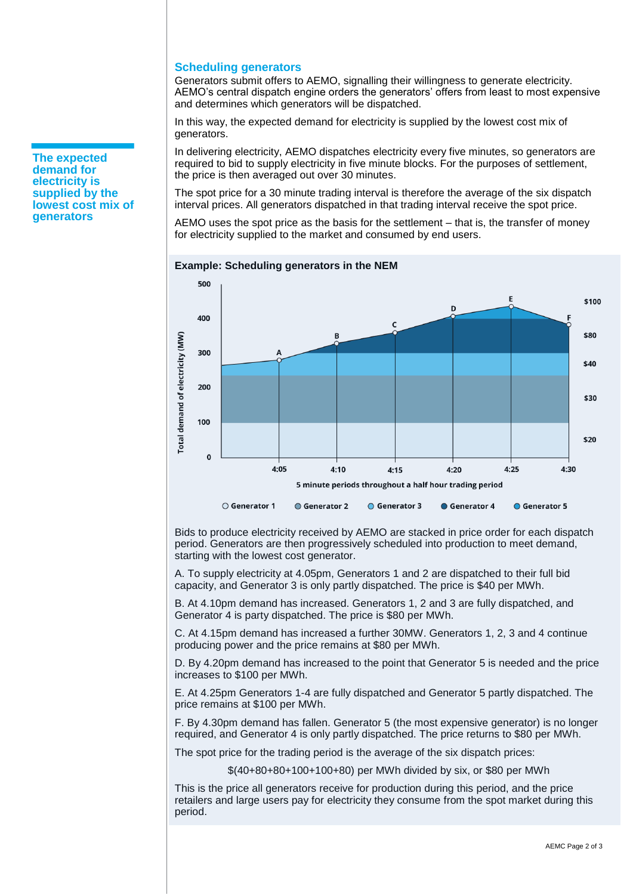## **Scheduling generators**

Generators submit offers to AEMO, signalling their willingness to generate electricity. AEMO's central dispatch engine orders the generators' offers from least to most expensive and determines which generators will be dispatched.

In this way, the expected demand for electricity is supplied by the lowest cost mix of generators.

In delivering electricity, AEMO dispatches electricity every five minutes, so generators are required to bid to supply electricity in five minute blocks. For the purposes of settlement, the price is then averaged out over 30 minutes.

The spot price for a 30 minute trading interval is therefore the average of the six dispatch interval prices. All generators dispatched in that trading interval receive the spot price.

AEMO uses the spot price as the basis for the settlement – that is, the transfer of money for electricity supplied to the market and consumed by end users.



#### **Example: Scheduling generators in the NEM**

Bids to produce electricity received by AEMO are stacked in price order for each dispatch period. Generators are then progressively scheduled into production to meet demand, starting with the lowest cost generator.

A. To supply electricity at 4.05pm, Generators 1 and 2 are dispatched to their full bid capacity, and Generator 3 is only partly dispatched. The price is \$40 per MWh.

B. At 4.10pm demand has increased. Generators 1, 2 and 3 are fully dispatched, and Generator 4 is party dispatched. The price is \$80 per MWh.

C. At 4.15pm demand has increased a further 30MW. Generators 1, 2, 3 and 4 continue producing power and the price remains at \$80 per MWh.

D. By 4.20pm demand has increased to the point that Generator 5 is needed and the price increases to \$100 per MWh.

E. At 4.25pm Generators 1-4 are fully dispatched and Generator 5 partly dispatched. The price remains at \$100 per MWh.

F. By 4.30pm demand has fallen. Generator 5 (the most expensive generator) is no longer required, and Generator 4 is only partly dispatched. The price returns to \$80 per MWh.

The spot price for the trading period is the average of the six dispatch prices:

\$(40+80+80+100+100+80) per MWh divided by six, or \$80 per MWh

This is the price all generators receive for production during this period, and the price retailers and large users pay for electricity they consume from the spot market during this period.

**The expected demand for electricity is supplied by the lowest cost mix of generators**